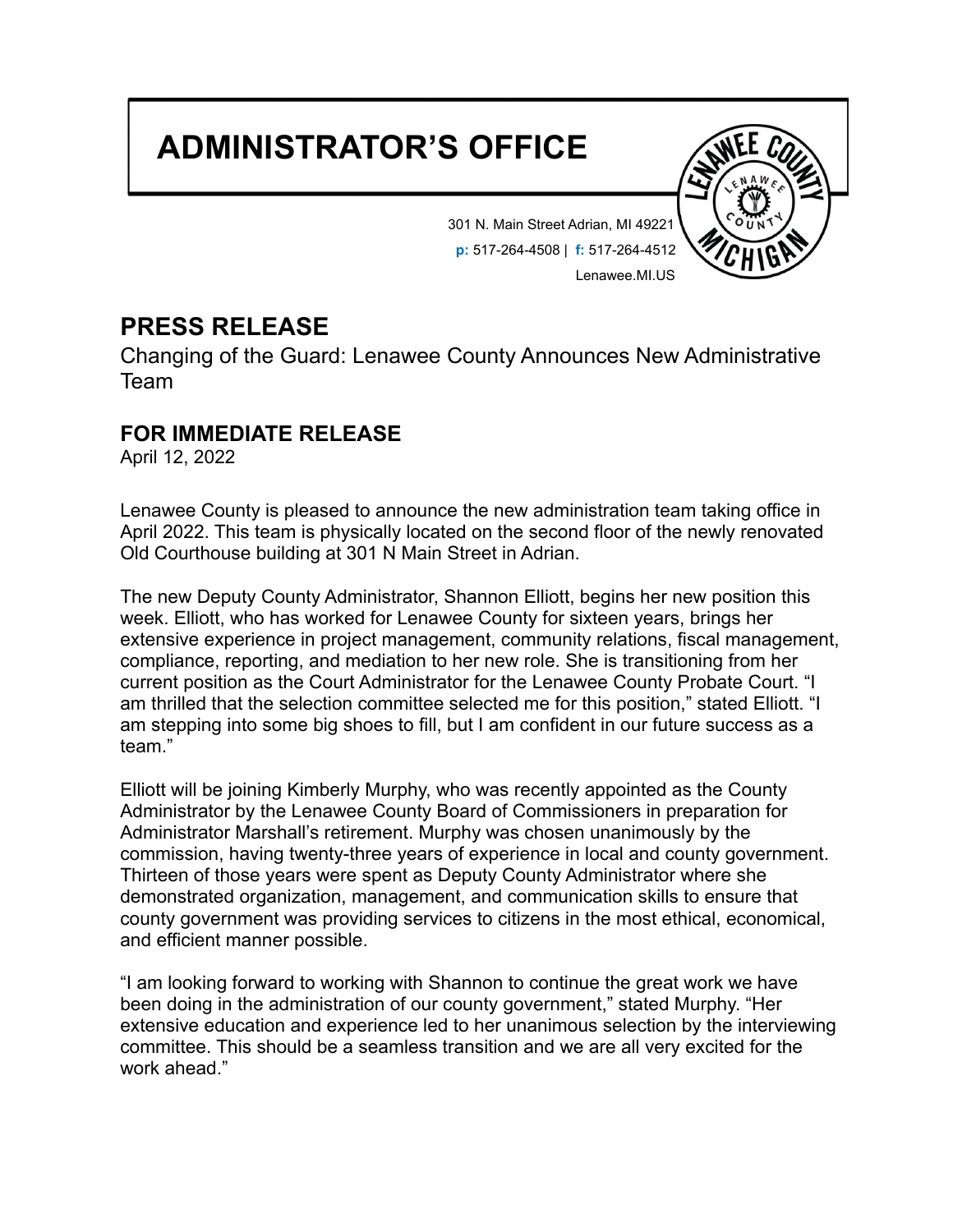## **ADMINISTRATOR'S OFFICE**



301 N. Main Street Adrian, MI 49221 **p:** 517-264-4508 | **f:** 517-264-4512 Lenawee.MI.US

## **PRESS RELEASE**

Changing of the Guard: Lenawee County Announces New Administrative Team

## **FOR IMMEDIATE RELEASE**

April 12, 2022

Lenawee County is pleased to announce the new administration team taking office in April 2022. This team is physically located on the second floor of the newly renovated Old Courthouse building at 301 N Main Street in Adrian.

The new Deputy County Administrator, Shannon Elliott, begins her new position this week. Elliott, who has worked for Lenawee County for sixteen years, brings her extensive experience in project management, community relations, fiscal management, compliance, reporting, and mediation to her new role. She is transitioning from her current position as the Court Administrator for the Lenawee County Probate Court. "I am thrilled that the selection committee selected me for this position," stated Elliott. "I am stepping into some big shoes to fill, but I am confident in our future success as a team."

Elliott will be joining Kimberly Murphy, who was recently appointed as the County Administrator by the Lenawee County Board of Commissioners in preparation for Administrator Marshall's retirement. Murphy was chosen unanimously by the commission, having twenty-three years of experience in local and county government. Thirteen of those years were spent as Deputy County Administrator where she demonstrated organization, management, and communication skills to ensure that county government was providing services to citizens in the most ethical, economical, and efficient manner possible.

"I am looking forward to working with Shannon to continue the great work we have been doing in the administration of our county government," stated Murphy. "Her extensive education and experience led to her unanimous selection by the interviewing committee. This should be a seamless transition and we are all very excited for the work ahead."